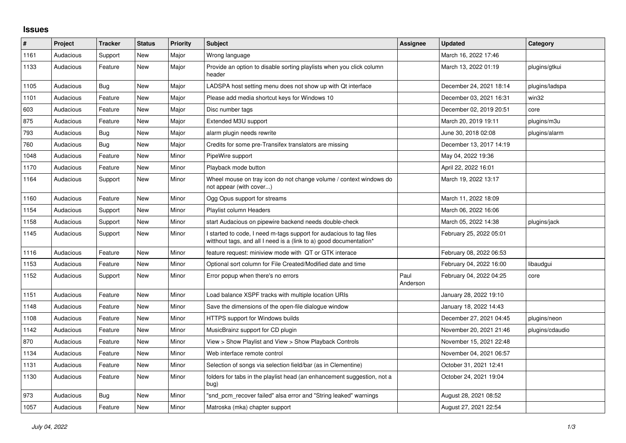## **Issues**

| #    | Project   | <b>Tracker</b> | <b>Status</b> | <b>Priority</b> | <b>Subject</b>                                                                                                                            | Assignee         | <b>Updated</b>          | Category        |
|------|-----------|----------------|---------------|-----------------|-------------------------------------------------------------------------------------------------------------------------------------------|------------------|-------------------------|-----------------|
| 1161 | Audacious | Support        | <b>New</b>    | Major           | Wrong language                                                                                                                            |                  | March 16, 2022 17:46    |                 |
| 1133 | Audacious | Feature        | New           | Major           | Provide an option to disable sorting playlists when you click column<br>header                                                            |                  | March 13, 2022 01:19    | plugins/gtkui   |
| 1105 | Audacious | Bug            | <b>New</b>    | Major           | LADSPA host setting menu does not show up with Qt interface                                                                               |                  | December 24, 2021 18:14 | plugins/ladspa  |
| 1101 | Audacious | Feature        | New           | Major           | Please add media shortcut keys for Windows 10                                                                                             |                  | December 03, 2021 16:31 | win32           |
| 603  | Audacious | Feature        | New           | Major           | Disc number tags                                                                                                                          |                  | December 02, 2019 20:51 | core            |
| 875  | Audacious | Feature        | New           | Major           | Extended M3U support                                                                                                                      |                  | March 20, 2019 19:11    | plugins/m3u     |
| 793  | Audacious | <b>Bug</b>     | New           | Major           | alarm plugin needs rewrite                                                                                                                |                  | June 30, 2018 02:08     | plugins/alarm   |
| 760  | Audacious | Bug            | New           | Major           | Credits for some pre-Transifex translators are missing                                                                                    |                  | December 13, 2017 14:19 |                 |
| 1048 | Audacious | Feature        | <b>New</b>    | Minor           | PipeWire support                                                                                                                          |                  | May 04, 2022 19:36      |                 |
| 1170 | Audacious | Feature        | New           | Minor           | Playback mode button                                                                                                                      |                  | April 22, 2022 16:01    |                 |
| 1164 | Audacious | Support        | New           | Minor           | Wheel mouse on tray icon do not change volume / context windows do<br>not appear (with cover)                                             |                  | March 19, 2022 13:17    |                 |
| 1160 | Audacious | Feature        | New           | Minor           | Ogg Opus support for streams                                                                                                              |                  | March 11, 2022 18:09    |                 |
| 1154 | Audacious | Support        | New           | Minor           | Playlist column Headers                                                                                                                   |                  | March 06, 2022 16:06    |                 |
| 1158 | Audacious | Support        | New           | Minor           | start Audacious on pipewire backend needs double-check                                                                                    |                  | March 05, 2022 14:38    | plugins/jack    |
| 1145 | Audacious | Support        | New           | Minor           | I started to code, I need m-tags support for audacious to tag files<br>witthout tags, and all I need is a (link to a) good documentation* |                  | February 25, 2022 05:01 |                 |
| 1116 | Audacious | Feature        | New           | Minor           | feature request: miniview mode with QT or GTK interace                                                                                    |                  | February 08, 2022 06:53 |                 |
| 1153 | Audacious | Feature        | New           | Minor           | Optional sort column for File Created/Modified date and time                                                                              |                  | February 04, 2022 16:00 | libaudgui       |
| 1152 | Audacious | Support        | New           | Minor           | Error popup when there's no errors                                                                                                        | Paul<br>Anderson | February 04, 2022 04:25 | core            |
| 1151 | Audacious | Feature        | <b>New</b>    | Minor           | Load balance XSPF tracks with multiple location URIs                                                                                      |                  | January 28, 2022 19:10  |                 |
| 1148 | Audacious | Feature        | New           | Minor           | Save the dimensions of the open-file dialogue window                                                                                      |                  | January 18, 2022 14:43  |                 |
| 1108 | Audacious | Feature        | <b>New</b>    | Minor           | HTTPS support for Windows builds                                                                                                          |                  | December 27, 2021 04:45 | plugins/neon    |
| 1142 | Audacious | Feature        | <b>New</b>    | Minor           | MusicBrainz support for CD plugin                                                                                                         |                  | November 20, 2021 21:46 | plugins/cdaudio |
| 870  | Audacious | Feature        | New           | Minor           | View > Show Playlist and View > Show Playback Controls                                                                                    |                  | November 15, 2021 22:48 |                 |
| 1134 | Audacious | Feature        | New           | Minor           | Web interface remote control                                                                                                              |                  | November 04, 2021 06:57 |                 |
| 1131 | Audacious | Feature        | New           | Minor           | Selection of songs via selection field/bar (as in Clementine)                                                                             |                  | October 31, 2021 12:41  |                 |
| 1130 | Audacious | Feature        | <b>New</b>    | Minor           | folders for tabs in the playlist head (an enhancement suggestion, not a<br>bug)                                                           |                  | October 24, 2021 19:04  |                 |
| 973  | Audacious | <b>Bug</b>     | New           | Minor           | "snd_pcm_recover failed" alsa error and "String leaked" warnings                                                                          |                  | August 28, 2021 08:52   |                 |
| 1057 | Audacious | Feature        | New           | Minor           | Matroska (mka) chapter support                                                                                                            |                  | August 27, 2021 22:54   |                 |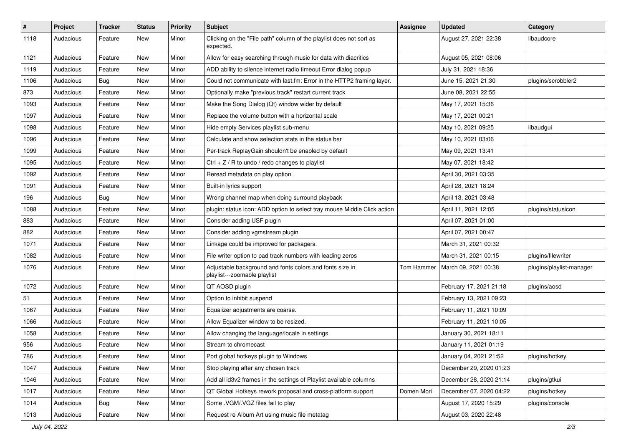| $\#$ | Project   | <b>Tracker</b> | <b>Status</b> | <b>Priority</b> | Subject                                                                                  | <b>Assignee</b> | <b>Updated</b>          | Category                 |
|------|-----------|----------------|---------------|-----------------|------------------------------------------------------------------------------------------|-----------------|-------------------------|--------------------------|
| 1118 | Audacious | Feature        | New           | Minor           | Clicking on the "File path" column of the playlist does not sort as<br>expected.         |                 | August 27, 2021 22:38   | libaudcore               |
| 1121 | Audacious | Feature        | New           | Minor           | Allow for easy searching through music for data with diacritics                          |                 | August 05, 2021 08:06   |                          |
| 1119 | Audacious | Feature        | New           | Minor           | ADD ability to silence internet radio timeout Error dialog popup                         |                 | July 31, 2021 18:36     |                          |
| 1106 | Audacious | Bug            | New           | Minor           | Could not communicate with last.fm: Error in the HTTP2 framing layer.                    |                 | June 15, 2021 21:30     | plugins/scrobbler2       |
| 873  | Audacious | Feature        | New           | Minor           | Optionally make "previous track" restart current track                                   |                 | June 08, 2021 22:55     |                          |
| 1093 | Audacious | Feature        | New           | Minor           | Make the Song Dialog (Qt) window wider by default                                        |                 | May 17, 2021 15:36      |                          |
| 1097 | Audacious | Feature        | New           | Minor           | Replace the volume button with a horizontal scale                                        |                 | May 17, 2021 00:21      |                          |
| 1098 | Audacious | Feature        | New           | Minor           | Hide empty Services playlist sub-menu                                                    |                 | May 10, 2021 09:25      | libaudgui                |
| 1096 | Audacious | Feature        | New           | Minor           | Calculate and show selection stats in the status bar                                     |                 | May 10, 2021 03:06      |                          |
| 1099 | Audacious | Feature        | New           | Minor           | Per-track ReplayGain shouldn't be enabled by default                                     |                 | May 09, 2021 13:41      |                          |
| 1095 | Audacious | Feature        | New           | Minor           | Ctrl + $Z$ / R to undo / redo changes to playlist                                        |                 | May 07, 2021 18:42      |                          |
| 1092 | Audacious | Feature        | New           | Minor           | Reread metadata on play option                                                           |                 | April 30, 2021 03:35    |                          |
| 1091 | Audacious | Feature        | New           | Minor           | Built-in lyrics support                                                                  |                 | April 28, 2021 18:24    |                          |
| 196  | Audacious | <b>Bug</b>     | New           | Minor           | Wrong channel map when doing surround playback                                           |                 | April 13, 2021 03:48    |                          |
| 1088 | Audacious | Feature        | New           | Minor           | plugin: status icon: ADD option to select tray mouse Middle Click action                 |                 | April 11, 2021 12:05    | plugins/statusicon       |
| 883  | Audacious | Feature        | New           | Minor           | Consider adding USF plugin                                                               |                 | April 07, 2021 01:00    |                          |
| 882  | Audacious | Feature        | New           | Minor           | Consider adding vgmstream plugin                                                         |                 | April 07, 2021 00:47    |                          |
| 1071 | Audacious | Feature        | New           | Minor           | Linkage could be improved for packagers.                                                 |                 | March 31, 2021 00:32    |                          |
| 1082 | Audacious | Feature        | New           | Minor           | File writer option to pad track numbers with leading zeros                               |                 | March 31, 2021 00:15    | plugins/filewriter       |
| 1076 | Audacious | Feature        | New           | Minor           | Adjustable background and fonts colors and fonts size in<br>playlist---zoomable playlist | Tom Hammer      | March 09, 2021 00:38    | plugins/playlist-manager |
| 1072 | Audacious | Feature        | New           | Minor           | QT AOSD plugin                                                                           |                 | February 17, 2021 21:18 | plugins/aosd             |
| 51   | Audacious | Feature        | New           | Minor           | Option to inhibit suspend                                                                |                 | February 13, 2021 09:23 |                          |
| 1067 | Audacious | Feature        | New           | Minor           | Equalizer adjustments are coarse.                                                        |                 | February 11, 2021 10:09 |                          |
| 1066 | Audacious | Feature        | New           | Minor           | Allow Equalizer window to be resized.                                                    |                 | February 11, 2021 10:05 |                          |
| 1058 | Audacious | Feature        | New           | Minor           | Allow changing the language/locale in settings                                           |                 | January 30, 2021 18:11  |                          |
| 956  | Audacious | Feature        | New           | Minor           | Stream to chromecast                                                                     |                 | January 11, 2021 01:19  |                          |
| 786  | Audacious | Feature        | New           | Minor           | Port global hotkeys plugin to Windows                                                    |                 | January 04, 2021 21:52  | plugins/hotkey           |
| 1047 | Audacious | Feature        | New           | Minor           | Stop playing after any chosen track                                                      |                 | December 29, 2020 01:23 |                          |
| 1046 | Audacious | Feature        | New           | Minor           | Add all id3v2 frames in the settings of Playlist available columns                       |                 | December 28, 2020 21:14 | plugins/gtkui            |
| 1017 | Audacious | Feature        | New           | Minor           | QT Global Hotkeys rework proposal and cross-platform support                             | Domen Mori      | December 07, 2020 04:22 | plugins/hotkey           |
| 1014 | Audacious | Bug            | New           | Minor           | Some .VGM/.VGZ files fail to play                                                        |                 | August 17, 2020 15:29   | plugins/console          |
| 1013 | Audacious | Feature        | New           | Minor           | Request re Album Art using music file metatag                                            |                 | August 03, 2020 22:48   |                          |